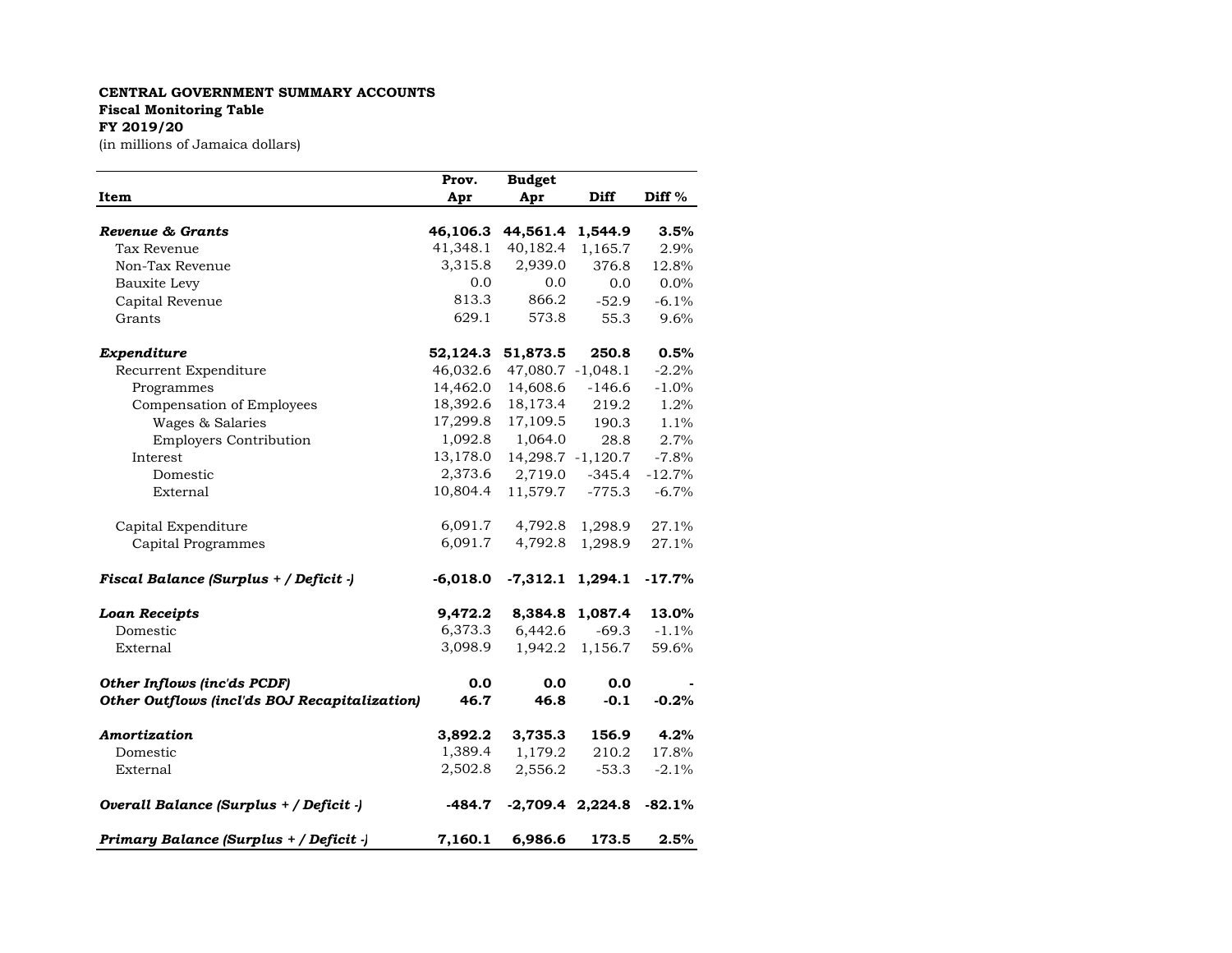## **CENTRAL GOVERNMENT SUMMARY ACCOUNTS Fiscal Monitoring Table FY 2019/20**

(in millions of Jamaica dollars)

|                                                      | Prov.      | <b>Budget</b>      |                   |          |
|------------------------------------------------------|------------|--------------------|-------------------|----------|
| Item                                                 | Apr        | Apr                | Diff              | Diff %   |
|                                                      |            |                    |                   |          |
| Revenue & Grants                                     | 46,106.3   | 44,561.4           | 1,544.9           | 3.5%     |
| Tax Revenue                                          | 41,348.1   | 40,182.4           | 1,165.7           | 2.9%     |
| Non-Tax Revenue                                      | 3,315.8    | 2,939.0            | 376.8             | 12.8%    |
| Bauxite Levy                                         | 0.0        | 0.0                | 0.0               | 0.0%     |
| Capital Revenue                                      | 813.3      | 866.2              | $-52.9$           | $-6.1%$  |
| Grants                                               | 629.1      | 573.8              | 55.3              | 9.6%     |
| Expenditure                                          | 52,124.3   | 51,873.5           | 250.8             | 0.5%     |
| Recurrent Expenditure                                | 46,032.6   | 47,080.7 -1,048.1  |                   | $-2.2%$  |
| Programmes                                           | 14,462.0   | 14,608.6           | $-146.6$          | $-1.0%$  |
| Compensation of Employees                            | 18,392.6   | 18,173.4           | 219.2             | 1.2%     |
| Wages & Salaries                                     | 17,299.8   | 17,109.5           | 190.3             | 1.1%     |
| <b>Employers Contribution</b>                        | 1,092.8    | 1,064.0            | 28.8              | 2.7%     |
| Interest                                             | 13,178.0   |                    | 14,298.7 -1,120.7 | $-7.8%$  |
| Domestic                                             | 2,373.6    | 2,719.0            | $-345.4$          | $-12.7%$ |
| External                                             | 10,804.4   | 11,579.7           | $-775.3$          | $-6.7%$  |
| Capital Expenditure                                  | 6,091.7    | 4,792.8            | 1,298.9           | 27.1%    |
| Capital Programmes                                   | 6,091.7    | 4,792.8            | 1,298.9           | 27.1%    |
| Fiscal Balance (Surplus + / Deficit -)               | $-6,018.0$ | $-7,312.1$         | 1,294.1           | $-17.7%$ |
| <b>Loan Receipts</b>                                 | 9,472.2    | 8,384.8            | 1,087.4           | 13.0%    |
| Domestic                                             | 6,373.3    | 6,442.6            | $-69.3$           | $-1.1%$  |
| External                                             | 3,098.9    | 1,942.2            | 1,156.7           | 59.6%    |
| Other Inflows (inc'ds PCDF)                          | 0.0        | 0.0                | 0.0               |          |
| <b>Other Outflows (incl'ds BOJ Recapitalization)</b> | 46.7       | 46.8               | $-0.1$            | $-0.2%$  |
| Amortization                                         | 3,892.2    | 3,735.3            | 156.9             | 4.2%     |
| Domestic                                             | 1,389.4    | 1,179.2            | 210.2             | 17.8%    |
| External                                             | 2,502.8    | 2,556.2            | $-53.3$           | $-2.1%$  |
| Overall Balance (Surplus + / Deficit -)              | $-484.7$   | $-2,709.4$ 2,224.8 |                   | $-82.1%$ |
| Primary Balance (Surplus + / Deficit -)              | 7,160.1    | 6,986.6            | 173.5             | 2.5%     |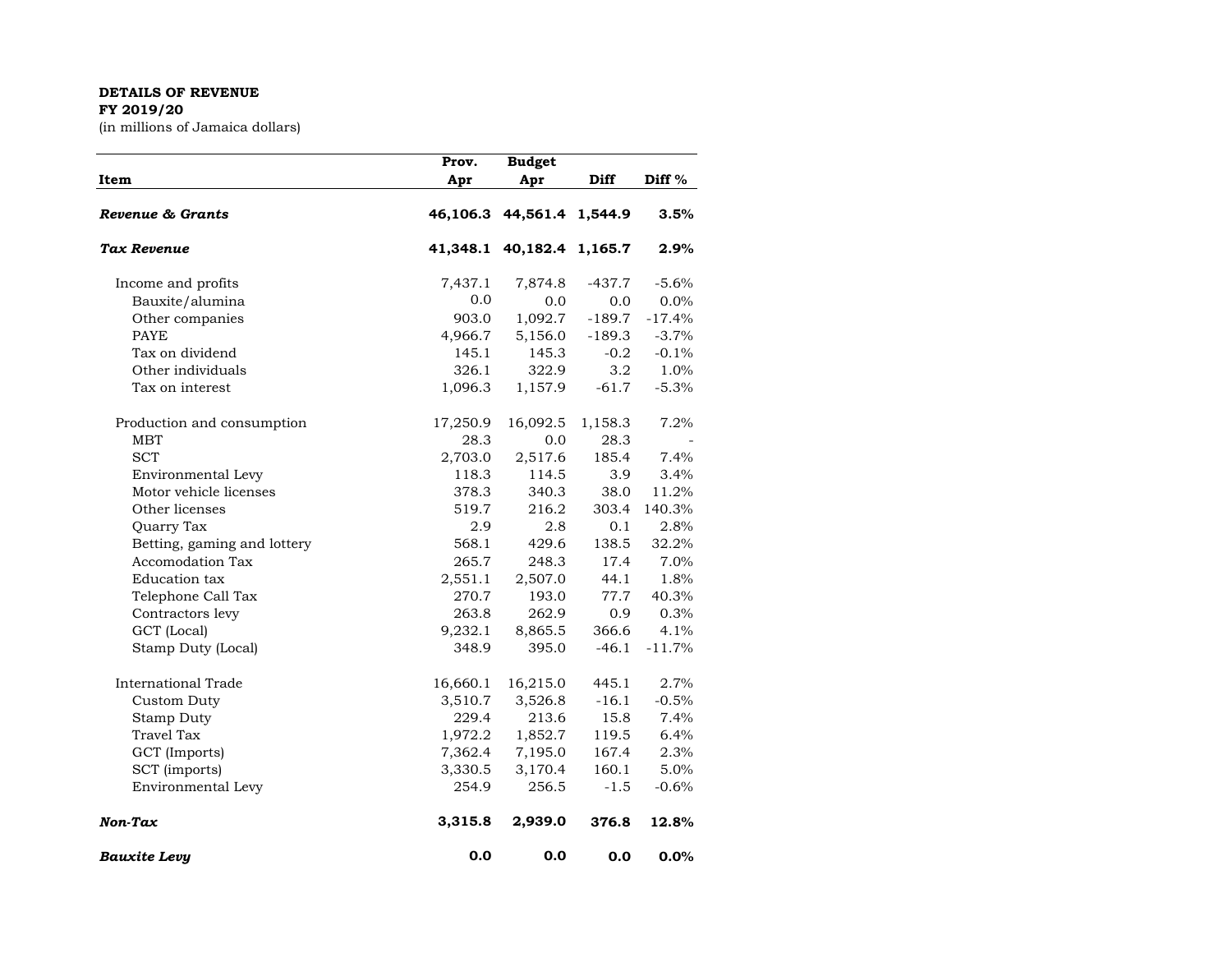## **DETAILS OF REVENUE FY 2019/20**

(in millions of Jamaica dollars)

| Item                        | Prov.<br>Apr | <b>Budget</b><br>Apr      | Diff     | Diff %   |
|-----------------------------|--------------|---------------------------|----------|----------|
| Revenue & Grants            |              | 46,106.3 44,561.4 1,544.9 |          | 3.5%     |
| Tax Revenue                 | 41,348.1     | 40,182.4 1,165.7          |          | 2.9%     |
| Income and profits          | 7,437.1      | 7,874.8                   | $-437.7$ | $-5.6%$  |
| Bauxite/alumina             | 0.0          | 0.0                       | 0.0      | 0.0%     |
| Other companies             | 903.0        | 1,092.7                   | $-189.7$ | $-17.4%$ |
| <b>PAYE</b>                 | 4,966.7      | 5,156.0                   | $-189.3$ | $-3.7%$  |
| Tax on dividend             | 145.1        | 145.3                     | $-0.2$   | $-0.1%$  |
| Other individuals           | 326.1        | 322.9                     | 3.2      | 1.0%     |
| Tax on interest             | 1,096.3      | 1,157.9                   | $-61.7$  | $-5.3%$  |
| Production and consumption  | 17,250.9     | 16,092.5                  | 1,158.3  | 7.2%     |
| <b>MBT</b>                  | 28.3         | 0.0                       | 28.3     |          |
| <b>SCT</b>                  | 2,703.0      | 2,517.6                   | 185.4    | 7.4%     |
| Environmental Levy          | 118.3        | 114.5                     | 3.9      | 3.4%     |
| Motor vehicle licenses      | 378.3        | 340.3                     | 38.0     | 11.2%    |
| Other licenses              | 519.7        | 216.2                     | 303.4    | 140.3%   |
| Quarry Tax                  | 2.9          | 2.8                       | 0.1      | 2.8%     |
| Betting, gaming and lottery | 568.1        | 429.6                     | 138.5    | 32.2%    |
| Accomodation Tax            | 265.7        | 248.3                     | 17.4     | 7.0%     |
| <b>Education</b> tax        | 2,551.1      | 2,507.0                   | 44.1     | 1.8%     |
| Telephone Call Tax          | 270.7        | 193.0                     | 77.7     | 40.3%    |
| Contractors levy            | 263.8        | 262.9                     | 0.9      | 0.3%     |
| GCT (Local)                 | 9,232.1      | 8,865.5                   | 366.6    | 4.1%     |
| Stamp Duty (Local)          | 348.9        | 395.0                     | $-46.1$  | $-11.7%$ |
| International Trade         | 16,660.1     | 16,215.0                  | 445.1    | 2.7%     |
| Custom Duty                 | 3,510.7      | 3,526.8                   | $-16.1$  | $-0.5%$  |
| Stamp Duty                  | 229.4        | 213.6                     | 15.8     | 7.4%     |
| <b>Travel Tax</b>           | 1,972.2      | 1,852.7                   | 119.5    | 6.4%     |
| GCT (Imports)               | 7,362.4      | 7,195.0                   | 167.4    | 2.3%     |
| SCT (imports)               | 3,330.5      | 3,170.4                   | 160.1    | 5.0%     |
| Environmental Levy          | 254.9        | 256.5                     | $-1.5$   | $-0.6%$  |
| Non-Tax                     | 3,315.8      | 2,939.0                   | 376.8    | 12.8%    |
| <b>Bauxite Levu</b>         | 0.0          | 0.0                       | 0.0      | 0.0%     |